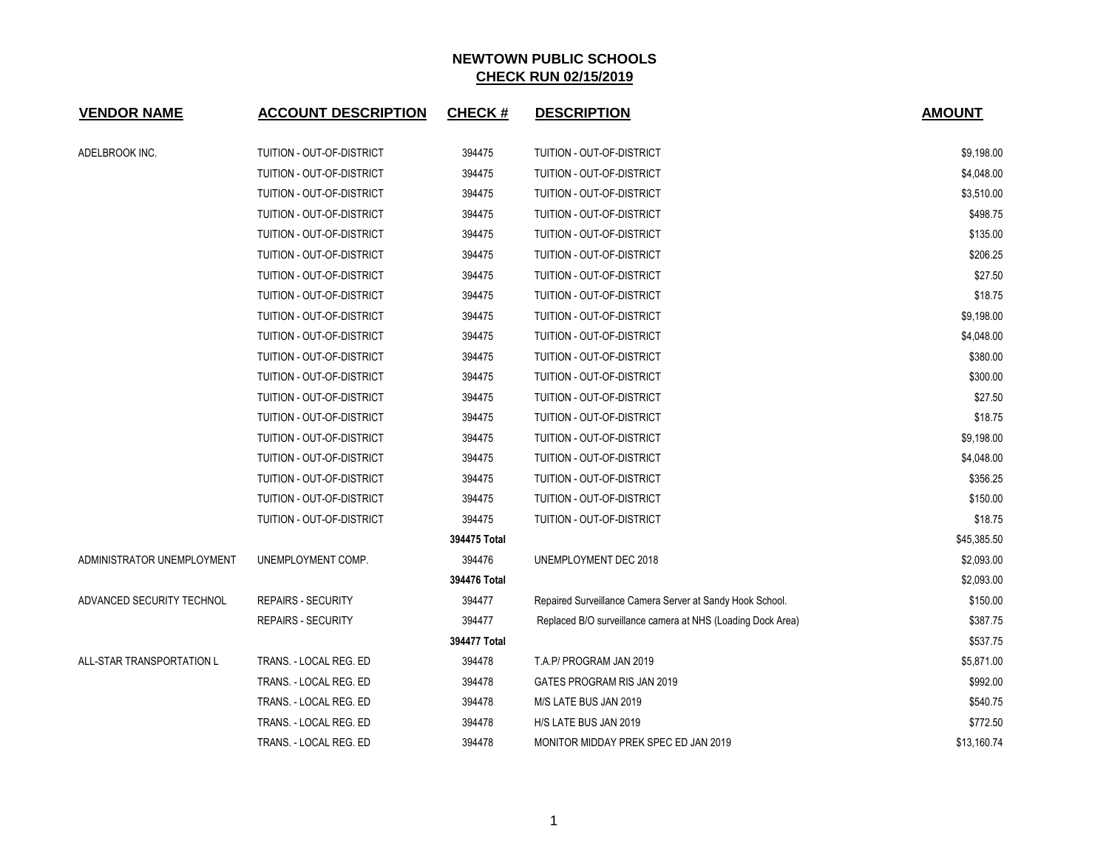| <b>VENDOR NAME</b>         | <b>ACCOUNT DESCRIPTION</b> | <b>CHECK#</b> | <b>DESCRIPTION</b>                                          | <b>AMOUNT</b> |
|----------------------------|----------------------------|---------------|-------------------------------------------------------------|---------------|
| ADELBROOK INC.             | TUITION - OUT-OF-DISTRICT  | 394475        | TUITION - OUT-OF-DISTRICT                                   | \$9,198.00    |
|                            | TUITION - OUT-OF-DISTRICT  | 394475        | TUITION - OUT-OF-DISTRICT                                   | \$4,048.00    |
|                            | TUITION - OUT-OF-DISTRICT  | 394475        | TUITION - OUT-OF-DISTRICT                                   | \$3,510.00    |
|                            | TUITION - OUT-OF-DISTRICT  | 394475        | TUITION - OUT-OF-DISTRICT                                   | \$498.75      |
|                            | TUITION - OUT-OF-DISTRICT  | 394475        | TUITION - OUT-OF-DISTRICT                                   | \$135.00      |
|                            | TUITION - OUT-OF-DISTRICT  | 394475        | TUITION - OUT-OF-DISTRICT                                   | \$206.25      |
|                            | TUITION - OUT-OF-DISTRICT  | 394475        | TUITION - OUT-OF-DISTRICT                                   | \$27.50       |
|                            | TUITION - OUT-OF-DISTRICT  | 394475        | TUITION - OUT-OF-DISTRICT                                   | \$18.75       |
|                            | TUITION - OUT-OF-DISTRICT  | 394475        | TUITION - OUT-OF-DISTRICT                                   | \$9,198.00    |
|                            | TUITION - OUT-OF-DISTRICT  | 394475        | TUITION - OUT-OF-DISTRICT                                   | \$4,048.00    |
|                            | TUITION - OUT-OF-DISTRICT  | 394475        | TUITION - OUT-OF-DISTRICT                                   | \$380.00      |
|                            | TUITION - OUT-OF-DISTRICT  | 394475        | TUITION - OUT-OF-DISTRICT                                   | \$300.00      |
|                            | TUITION - OUT-OF-DISTRICT  | 394475        | TUITION - OUT-OF-DISTRICT                                   | \$27.50       |
|                            | TUITION - OUT-OF-DISTRICT  | 394475        | TUITION - OUT-OF-DISTRICT                                   | \$18.75       |
|                            | TUITION - OUT-OF-DISTRICT  | 394475        | TUITION - OUT-OF-DISTRICT                                   | \$9,198.00    |
|                            | TUITION - OUT-OF-DISTRICT  | 394475        | TUITION - OUT-OF-DISTRICT                                   | \$4,048.00    |
|                            | TUITION - OUT-OF-DISTRICT  | 394475        | TUITION - OUT-OF-DISTRICT                                   | \$356.25      |
|                            | TUITION - OUT-OF-DISTRICT  | 394475        | TUITION - OUT-OF-DISTRICT                                   | \$150.00      |
|                            | TUITION - OUT-OF-DISTRICT  | 394475        | TUITION - OUT-OF-DISTRICT                                   | \$18.75       |
|                            |                            | 394475 Total  |                                                             | \$45,385.50   |
| ADMINISTRATOR UNEMPLOYMENT | UNEMPLOYMENT COMP.         | 394476        | UNEMPLOYMENT DEC 2018                                       | \$2,093.00    |
|                            |                            | 394476 Total  |                                                             | \$2,093.00    |
| ADVANCED SECURITY TECHNOL  | <b>REPAIRS - SECURITY</b>  | 394477        | Repaired Surveillance Camera Server at Sandy Hook School.   | \$150.00      |
|                            | <b>REPAIRS - SECURITY</b>  | 394477        | Replaced B/O surveillance camera at NHS (Loading Dock Area) | \$387.75      |
|                            |                            | 394477 Total  |                                                             | \$537.75      |
| ALL-STAR TRANSPORTATION L  | TRANS. - LOCAL REG. ED     | 394478        | T.A.P/ PROGRAM JAN 2019                                     | \$5,871.00    |
|                            | TRANS. - LOCAL REG. ED     | 394478        | GATES PROGRAM RIS JAN 2019                                  | \$992.00      |
|                            | TRANS. - LOCAL REG. ED     | 394478        | M/S LATE BUS JAN 2019                                       | \$540.75      |
|                            | TRANS. - LOCAL REG. ED     | 394478        | H/S LATE BUS JAN 2019                                       | \$772.50      |
|                            | TRANS. - LOCAL REG. ED     | 394478        | MONITOR MIDDAY PREK SPEC ED JAN 2019                        | \$13,160.74   |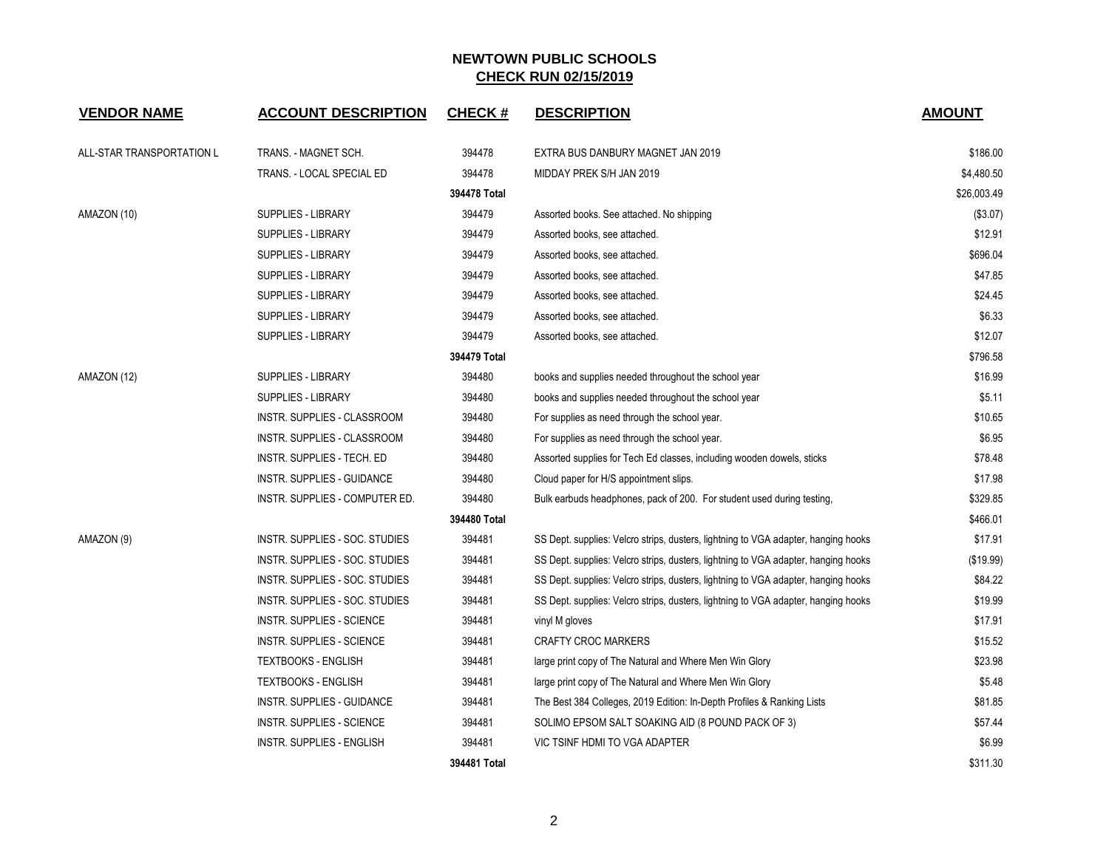| <b>VENDOR NAME</b>        | <b>ACCOUNT DESCRIPTION</b>       | <b>CHECK#</b> | <b>DESCRIPTION</b>                                                                 | <b>AMOUNT</b> |
|---------------------------|----------------------------------|---------------|------------------------------------------------------------------------------------|---------------|
| ALL-STAR TRANSPORTATION L | TRANS. - MAGNET SCH.             | 394478        | EXTRA BUS DANBURY MAGNET JAN 2019                                                  | \$186.00      |
|                           | TRANS. - LOCAL SPECIAL ED        | 394478        | MIDDAY PREK S/H JAN 2019                                                           | \$4,480.50    |
|                           |                                  | 394478 Total  |                                                                                    | \$26,003.49   |
| AMAZON (10)               | <b>SUPPLIES - LIBRARY</b>        | 394479        | Assorted books. See attached. No shipping                                          | (\$3.07)      |
|                           | <b>SUPPLIES - LIBRARY</b>        | 394479        | Assorted books, see attached.                                                      | \$12.91       |
|                           | SUPPLIES - LIBRARY               | 394479        | Assorted books, see attached.                                                      | \$696.04      |
|                           | <b>SUPPLIES - LIBRARY</b>        | 394479        | Assorted books, see attached.                                                      | \$47.85       |
|                           | <b>SUPPLIES - LIBRARY</b>        | 394479        | Assorted books, see attached.                                                      | \$24.45       |
|                           | <b>SUPPLIES - LIBRARY</b>        | 394479        | Assorted books, see attached.                                                      | \$6.33        |
|                           | <b>SUPPLIES - LIBRARY</b>        | 394479        | Assorted books, see attached.                                                      | \$12.07       |
|                           |                                  | 394479 Total  |                                                                                    | \$796.58      |
| AMAZON (12)               | <b>SUPPLIES - LIBRARY</b>        | 394480        | books and supplies needed throughout the school year                               | \$16.99       |
|                           | <b>SUPPLIES - LIBRARY</b>        | 394480        | books and supplies needed throughout the school year                               | \$5.11        |
|                           | INSTR. SUPPLIES - CLASSROOM      | 394480        | For supplies as need through the school year.                                      | \$10.65       |
|                           | INSTR. SUPPLIES - CLASSROOM      | 394480        | For supplies as need through the school year.                                      | \$6.95        |
|                           | INSTR. SUPPLIES - TECH. ED       | 394480        | Assorted supplies for Tech Ed classes, including wooden dowels, sticks             | \$78.48       |
|                           | INSTR. SUPPLIES - GUIDANCE       | 394480        | Cloud paper for H/S appointment slips.                                             | \$17.98       |
|                           | INSTR. SUPPLIES - COMPUTER ED.   | 394480        | Bulk earbuds headphones, pack of 200. For student used during testing,             | \$329.85      |
|                           |                                  | 394480 Total  |                                                                                    | \$466.01      |
| AMAZON (9)                | INSTR. SUPPLIES - SOC. STUDIES   | 394481        | SS Dept. supplies: Velcro strips, dusters, lightning to VGA adapter, hanging hooks | \$17.91       |
|                           | INSTR. SUPPLIES - SOC. STUDIES   | 394481        | SS Dept. supplies: Velcro strips, dusters, lightning to VGA adapter, hanging hooks | (\$19.99)     |
|                           | INSTR. SUPPLIES - SOC. STUDIES   | 394481        | SS Dept. supplies: Velcro strips, dusters, lightning to VGA adapter, hanging hooks | \$84.22       |
|                           | INSTR. SUPPLIES - SOC. STUDIES   | 394481        | SS Dept. supplies: Velcro strips, dusters, lightning to VGA adapter, hanging hooks | \$19.99       |
|                           | INSTR. SUPPLIES - SCIENCE        | 394481        | vinyl M gloves                                                                     | \$17.91       |
|                           | <b>INSTR. SUPPLIES - SCIENCE</b> | 394481        | <b>CRAFTY CROC MARKERS</b>                                                         | \$15.52       |
|                           | <b>TEXTBOOKS - ENGLISH</b>       | 394481        | large print copy of The Natural and Where Men Win Glory                            | \$23.98       |
|                           | <b>TEXTBOOKS - ENGLISH</b>       | 394481        | large print copy of The Natural and Where Men Win Glory                            | \$5.48        |
|                           | INSTR. SUPPLIES - GUIDANCE       | 394481        | The Best 384 Colleges, 2019 Edition: In-Depth Profiles & Ranking Lists             | \$81.85       |
|                           | INSTR. SUPPLIES - SCIENCE        | 394481        | SOLIMO EPSOM SALT SOAKING AID (8 POUND PACK OF 3)                                  | \$57.44       |
|                           | <b>INSTR. SUPPLIES - ENGLISH</b> | 394481        | VIC TSINF HDMI TO VGA ADAPTER                                                      | \$6.99        |
|                           |                                  | 394481 Total  |                                                                                    | \$311.30      |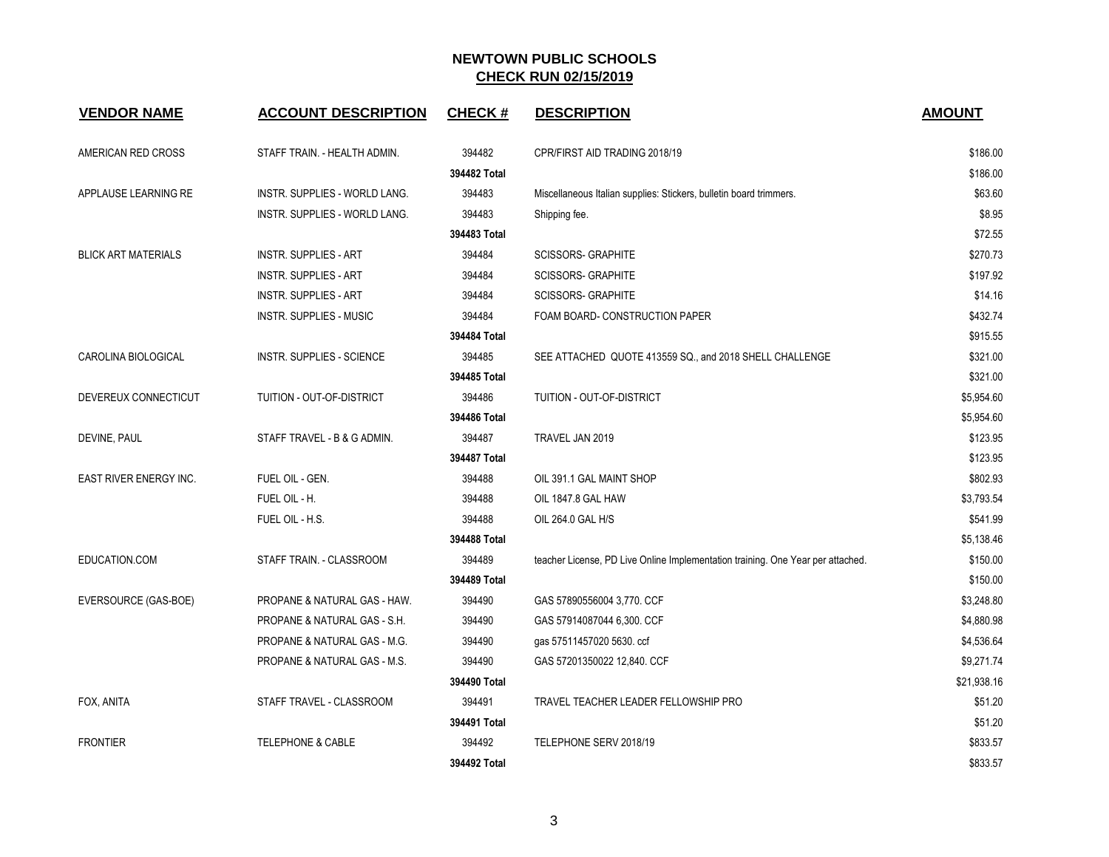| <b>VENDOR NAME</b>         | <b>ACCOUNT DESCRIPTION</b>     | <b>CHECK#</b> | <b>DESCRIPTION</b>                                                              | <b>AMOUNT</b> |
|----------------------------|--------------------------------|---------------|---------------------------------------------------------------------------------|---------------|
| AMERICAN RED CROSS         | STAFF TRAIN. - HEALTH ADMIN.   | 394482        | CPR/FIRST AID TRADING 2018/19                                                   | \$186.00      |
|                            |                                | 394482 Total  |                                                                                 | \$186.00      |
| APPLAUSE LEARNING RE       | INSTR. SUPPLIES - WORLD LANG.  | 394483        | Miscellaneous Italian supplies: Stickers, bulletin board trimmers.              | \$63.60       |
|                            | INSTR. SUPPLIES - WORLD LANG.  | 394483        | Shipping fee.                                                                   | \$8.95        |
|                            |                                | 394483 Total  |                                                                                 | \$72.55       |
| <b>BLICK ART MATERIALS</b> | <b>INSTR. SUPPLIES - ART</b>   | 394484        | <b>SCISSORS- GRAPHITE</b>                                                       | \$270.73      |
|                            | <b>INSTR. SUPPLIES - ART</b>   | 394484        | <b>SCISSORS- GRAPHITE</b>                                                       | \$197.92      |
|                            | <b>INSTR. SUPPLIES - ART</b>   | 394484        | <b>SCISSORS- GRAPHITE</b>                                                       | \$14.16       |
|                            | <b>INSTR. SUPPLIES - MUSIC</b> | 394484        | FOAM BOARD- CONSTRUCTION PAPER                                                  | \$432.74      |
|                            |                                | 394484 Total  |                                                                                 | \$915.55      |
| CAROLINA BIOLOGICAL        | INSTR. SUPPLIES - SCIENCE      | 394485        | SEE ATTACHED QUOTE 413559 SQ., and 2018 SHELL CHALLENGE                         | \$321.00      |
|                            |                                | 394485 Total  |                                                                                 | \$321.00      |
| DEVEREUX CONNECTICUT       | TUITION - OUT-OF-DISTRICT      | 394486        | TUITION - OUT-OF-DISTRICT                                                       | \$5,954.60    |
|                            |                                | 394486 Total  |                                                                                 | \$5,954.60    |
| DEVINE, PAUL               | STAFF TRAVEL - B & G ADMIN.    | 394487        | TRAVEL JAN 2019                                                                 | \$123.95      |
|                            |                                | 394487 Total  |                                                                                 | \$123.95      |
| EAST RIVER ENERGY INC.     | FUEL OIL - GEN.                | 394488        | OIL 391.1 GAL MAINT SHOP                                                        | \$802.93      |
|                            | FUEL OIL - H.                  | 394488        | OIL 1847.8 GAL HAW                                                              | \$3,793.54    |
|                            | FUEL OIL - H.S.                | 394488        | OIL 264.0 GAL H/S                                                               | \$541.99      |
|                            |                                | 394488 Total  |                                                                                 | \$5,138.46    |
| EDUCATION.COM              | STAFF TRAIN. - CLASSROOM       | 394489        | teacher License, PD Live Online Implementation training. One Year per attached. | \$150.00      |
|                            |                                | 394489 Total  |                                                                                 | \$150.00      |
| EVERSOURCE (GAS-BOE)       | PROPANE & NATURAL GAS - HAW.   | 394490        | GAS 57890556004 3,770. CCF                                                      | \$3,248.80    |
|                            | PROPANE & NATURAL GAS - S.H.   | 394490        | GAS 57914087044 6,300. CCF                                                      | \$4,880.98    |
|                            | PROPANE & NATURAL GAS - M.G.   | 394490        | gas 57511457020 5630. ccf                                                       | \$4,536.64    |
|                            | PROPANE & NATURAL GAS - M.S.   | 394490        | GAS 57201350022 12,840. CCF                                                     | \$9,271.74    |
|                            |                                | 394490 Total  |                                                                                 | \$21,938.16   |
| FOX, ANITA                 | STAFF TRAVEL - CLASSROOM       | 394491        | TRAVEL TEACHER LEADER FELLOWSHIP PRO                                            | \$51.20       |
|                            |                                | 394491 Total  |                                                                                 | \$51.20       |
| <b>FRONTIER</b>            | <b>TELEPHONE &amp; CABLE</b>   | 394492        | TELEPHONE SERV 2018/19                                                          | \$833.57      |
|                            |                                | 394492 Total  |                                                                                 | \$833.57      |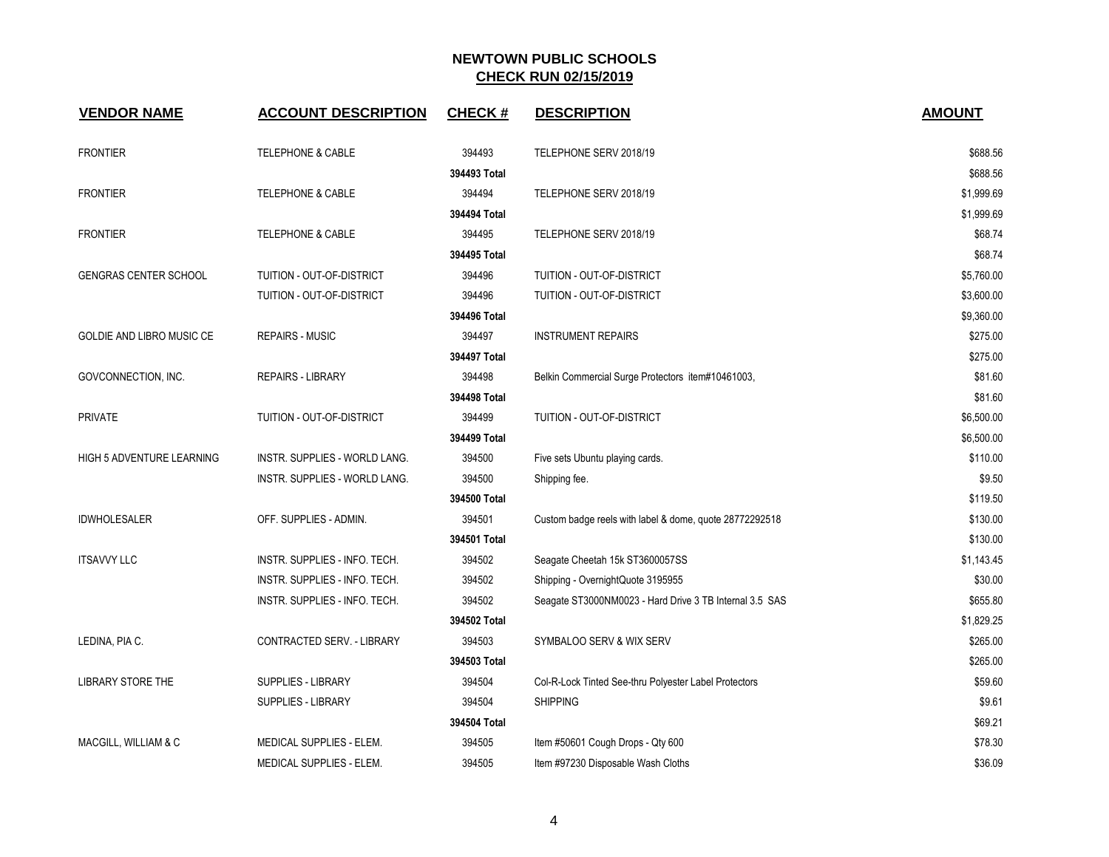| <b>VENDOR NAME</b>               | <b>ACCOUNT DESCRIPTION</b>    | <b>CHECK#</b> | <b>DESCRIPTION</b>                                      | <b>AMOUNT</b> |
|----------------------------------|-------------------------------|---------------|---------------------------------------------------------|---------------|
| <b>FRONTIER</b>                  | <b>TELEPHONE &amp; CABLE</b>  | 394493        | TELEPHONE SERV 2018/19                                  | \$688.56      |
|                                  |                               | 394493 Total  |                                                         | \$688.56      |
| <b>FRONTIER</b>                  | <b>TELEPHONE &amp; CABLE</b>  | 394494        | TELEPHONE SERV 2018/19                                  | \$1,999.69    |
|                                  |                               | 394494 Total  |                                                         | \$1,999.69    |
| <b>FRONTIER</b>                  | <b>TELEPHONE &amp; CABLE</b>  | 394495        | TELEPHONE SERV 2018/19                                  | \$68.74       |
|                                  |                               | 394495 Total  |                                                         | \$68.74       |
| <b>GENGRAS CENTER SCHOOL</b>     | TUITION - OUT-OF-DISTRICT     | 394496        | TUITION - OUT-OF-DISTRICT                               | \$5,760.00    |
|                                  | TUITION - OUT-OF-DISTRICT     | 394496        | TUITION - OUT-OF-DISTRICT                               | \$3,600.00    |
|                                  |                               | 394496 Total  |                                                         | \$9,360.00    |
| GOLDIE AND LIBRO MUSIC CE        | <b>REPAIRS - MUSIC</b>        | 394497        | <b>INSTRUMENT REPAIRS</b>                               | \$275.00      |
|                                  |                               | 394497 Total  |                                                         | \$275.00      |
| GOVCONNECTION, INC.              | <b>REPAIRS - LIBRARY</b>      | 394498        | Belkin Commercial Surge Protectors item#10461003,       | \$81.60       |
|                                  |                               | 394498 Total  |                                                         | \$81.60       |
| <b>PRIVATE</b>                   | TUITION - OUT-OF-DISTRICT     | 394499        | <b>TUITION - OUT-OF-DISTRICT</b>                        | \$6,500.00    |
|                                  |                               | 394499 Total  |                                                         | \$6,500.00    |
| <b>HIGH 5 ADVENTURE LEARNING</b> | INSTR. SUPPLIES - WORLD LANG. | 394500        | Five sets Ubuntu playing cards.                         | \$110.00      |
|                                  | INSTR. SUPPLIES - WORLD LANG. | 394500        | Shipping fee.                                           | \$9.50        |
|                                  |                               | 394500 Total  |                                                         | \$119.50      |
| <b>IDWHOLESALER</b>              | OFF. SUPPLIES - ADMIN.        | 394501        | Custom badge reels with label & dome, quote 28772292518 | \$130.00      |
|                                  |                               | 394501 Total  |                                                         | \$130.00      |
| <b>ITSAVVY LLC</b>               | INSTR. SUPPLIES - INFO. TECH. | 394502        | Seagate Cheetah 15k ST3600057SS                         | \$1,143.45    |
|                                  | INSTR. SUPPLIES - INFO. TECH. | 394502        | Shipping - OvernightQuote 3195955                       | \$30.00       |
|                                  | INSTR. SUPPLIES - INFO. TECH. | 394502        | Seagate ST3000NM0023 - Hard Drive 3 TB Internal 3.5 SAS | \$655.80      |
|                                  |                               | 394502 Total  |                                                         | \$1,829.25    |
| LEDINA, PIA C.                   | CONTRACTED SERV. - LIBRARY    | 394503        | SYMBALOO SERV & WIX SERV                                | \$265.00      |
|                                  |                               | 394503 Total  |                                                         | \$265.00      |
| LIBRARY STORE THE                | <b>SUPPLIES - LIBRARY</b>     | 394504        | Col-R-Lock Tinted See-thru Polyester Label Protectors   | \$59.60       |
|                                  | <b>SUPPLIES - LIBRARY</b>     | 394504        | <b>SHIPPING</b>                                         | \$9.61        |
|                                  |                               | 394504 Total  |                                                         | \$69.21       |
| MACGILL, WILLIAM & C             | MEDICAL SUPPLIES - ELEM.      | 394505        | Item #50601 Cough Drops - Qty 600                       | \$78.30       |
|                                  | MEDICAL SUPPLIES - ELEM.      | 394505        | Item #97230 Disposable Wash Cloths                      | \$36.09       |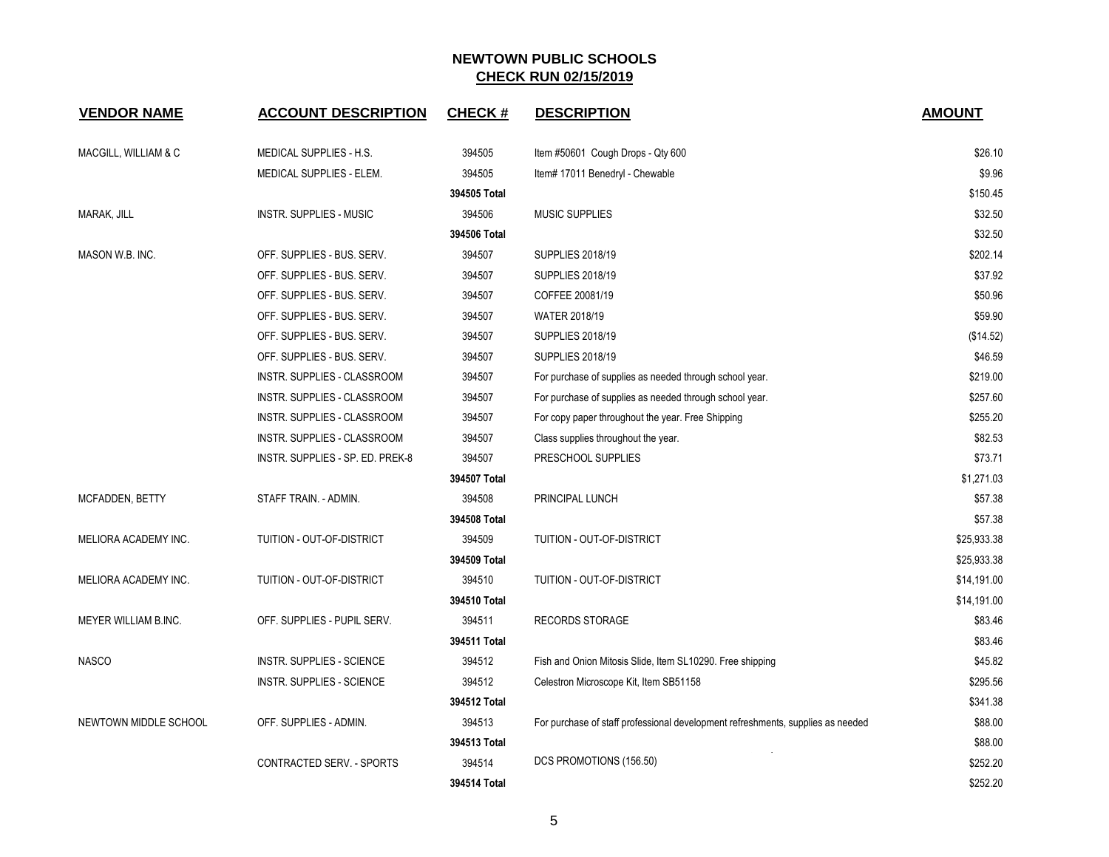| <b>VENDOR NAME</b>    | <b>ACCOUNT DESCRIPTION</b>       | <b>CHECK#</b> | <b>DESCRIPTION</b>                                                              | <b>AMOUNT</b> |
|-----------------------|----------------------------------|---------------|---------------------------------------------------------------------------------|---------------|
| MACGILL, WILLIAM & C  | MEDICAL SUPPLIES - H.S.          | 394505        | Item #50601 Cough Drops - Qty 600                                               | \$26.10       |
|                       | MEDICAL SUPPLIES - ELEM.         | 394505        | Item# 17011 Benedryl - Chewable                                                 | \$9.96        |
|                       |                                  | 394505 Total  |                                                                                 | \$150.45      |
| MARAK, JILL           | <b>INSTR. SUPPLIES - MUSIC</b>   | 394506        | <b>MUSIC SUPPLIES</b>                                                           | \$32.50       |
|                       |                                  | 394506 Total  |                                                                                 | \$32.50       |
| MASON W.B. INC.       | OFF. SUPPLIES - BUS. SERV.       | 394507        | <b>SUPPLIES 2018/19</b>                                                         | \$202.14      |
|                       | OFF. SUPPLIES - BUS. SERV.       | 394507        | <b>SUPPLIES 2018/19</b>                                                         | \$37.92       |
|                       | OFF. SUPPLIES - BUS. SERV.       | 394507        | COFFEE 20081/19                                                                 | \$50.96       |
|                       | OFF. SUPPLIES - BUS. SERV.       | 394507        | <b>WATER 2018/19</b>                                                            | \$59.90       |
|                       | OFF. SUPPLIES - BUS. SERV.       | 394507        | <b>SUPPLIES 2018/19</b>                                                         | (\$14.52)     |
|                       | OFF. SUPPLIES - BUS. SERV.       | 394507        | <b>SUPPLIES 2018/19</b>                                                         | \$46.59       |
|                       | INSTR. SUPPLIES - CLASSROOM      | 394507        | For purchase of supplies as needed through school year.                         | \$219.00      |
|                       | INSTR. SUPPLIES - CLASSROOM      | 394507        | For purchase of supplies as needed through school year.                         | \$257.60      |
|                       | INSTR. SUPPLIES - CLASSROOM      | 394507        | For copy paper throughout the year. Free Shipping                               | \$255.20      |
|                       | INSTR. SUPPLIES - CLASSROOM      | 394507        | Class supplies throughout the year.                                             | \$82.53       |
|                       | INSTR. SUPPLIES - SP. ED. PREK-8 | 394507        | PRESCHOOL SUPPLIES                                                              | \$73.71       |
|                       |                                  | 394507 Total  |                                                                                 | \$1,271.03    |
| MCFADDEN, BETTY       | STAFF TRAIN. - ADMIN.            | 394508        | PRINCIPAL LUNCH                                                                 | \$57.38       |
|                       |                                  | 394508 Total  |                                                                                 | \$57.38       |
| MELIORA ACADEMY INC.  | TUITION - OUT-OF-DISTRICT        | 394509        | TUITION - OUT-OF-DISTRICT                                                       | \$25,933.38   |
|                       |                                  | 394509 Total  |                                                                                 | \$25,933.38   |
| MELIORA ACADEMY INC.  | TUITION - OUT-OF-DISTRICT        | 394510        | TUITION - OUT-OF-DISTRICT                                                       | \$14,191.00   |
|                       |                                  | 394510 Total  |                                                                                 | \$14,191.00   |
| MEYER WILLIAM B.INC.  | OFF. SUPPLIES - PUPIL SERV.      | 394511        | <b>RECORDS STORAGE</b>                                                          | \$83.46       |
|                       |                                  | 394511 Total  |                                                                                 | \$83.46       |
| <b>NASCO</b>          | INSTR. SUPPLIES - SCIENCE        | 394512        | Fish and Onion Mitosis Slide, Item SL10290. Free shipping                       | \$45.82       |
|                       | <b>INSTR. SUPPLIES - SCIENCE</b> | 394512        | Celestron Microscope Kit, Item SB51158                                          | \$295.56      |
|                       |                                  | 394512 Total  |                                                                                 | \$341.38      |
| NEWTOWN MIDDLE SCHOOL | OFF. SUPPLIES - ADMIN.           | 394513        | For purchase of staff professional development refreshments, supplies as needed | \$88.00       |
|                       |                                  | 394513 Total  |                                                                                 | \$88.00       |
|                       | CONTRACTED SERV. - SPORTS        | 394514        | DCS PROMOTIONS (156.50)                                                         | \$252.20      |
|                       |                                  | 394514 Total  |                                                                                 | \$252.20      |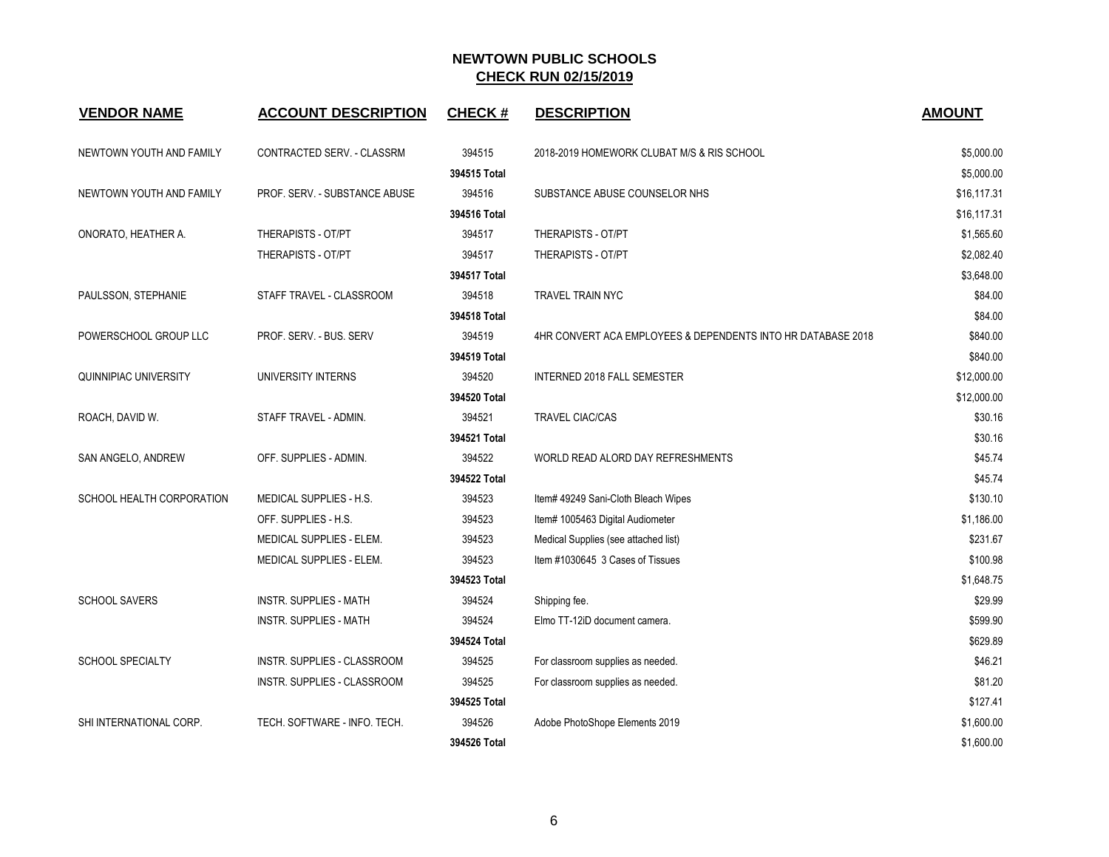| <b>VENDOR NAME</b>        | <b>ACCOUNT DESCRIPTION</b>    | <b>CHECK#</b> | <b>DESCRIPTION</b>                                           | <b>AMOUNT</b> |
|---------------------------|-------------------------------|---------------|--------------------------------------------------------------|---------------|
| NEWTOWN YOUTH AND FAMILY  | CONTRACTED SERV. - CLASSRM    | 394515        | 2018-2019 HOMEWORK CLUBAT M/S & RIS SCHOOL                   | \$5,000.00    |
|                           |                               | 394515 Total  |                                                              | \$5,000.00    |
| NEWTOWN YOUTH AND FAMILY  | PROF. SERV. - SUBSTANCE ABUSE | 394516        | SUBSTANCE ABUSE COUNSELOR NHS                                | \$16,117.31   |
|                           |                               | 394516 Total  |                                                              | \$16,117.31   |
| ONORATO, HEATHER A.       | THERAPISTS - OT/PT            | 394517        | THERAPISTS - OT/PT                                           | \$1,565.60    |
|                           | THERAPISTS - OT/PT            | 394517        | THERAPISTS - OT/PT                                           | \$2,082.40    |
|                           |                               | 394517 Total  |                                                              | \$3,648.00    |
| PAULSSON, STEPHANIE       | STAFF TRAVEL - CLASSROOM      | 394518        | TRAVEL TRAIN NYC                                             | \$84.00       |
|                           |                               | 394518 Total  |                                                              | \$84.00       |
| POWERSCHOOL GROUP LLC     | PROF. SERV. - BUS. SERV       | 394519        | 4HR CONVERT ACA EMPLOYEES & DEPENDENTS INTO HR DATABASE 2018 | \$840.00      |
|                           |                               | 394519 Total  |                                                              | \$840.00      |
| QUINNIPIAC UNIVERSITY     | UNIVERSITY INTERNS            | 394520        | <b>INTERNED 2018 FALL SEMESTER</b>                           | \$12,000.00   |
|                           |                               | 394520 Total  |                                                              | \$12,000.00   |
| ROACH, DAVID W.           | STAFF TRAVEL - ADMIN.         | 394521        | <b>TRAVEL CIAC/CAS</b>                                       | \$30.16       |
|                           |                               | 394521 Total  |                                                              | \$30.16       |
| SAN ANGELO, ANDREW        | OFF. SUPPLIES - ADMIN.        | 394522        | WORLD READ ALORD DAY REFRESHMENTS                            | \$45.74       |
|                           |                               | 394522 Total  |                                                              | \$45.74       |
| SCHOOL HEALTH CORPORATION | MEDICAL SUPPLIES - H.S.       | 394523        | Item# 49249 Sani-Cloth Bleach Wipes                          | \$130.10      |
|                           | OFF. SUPPLIES - H.S.          | 394523        | Item# 1005463 Digital Audiometer                             | \$1,186.00    |
|                           | MEDICAL SUPPLIES - ELEM.      | 394523        | Medical Supplies (see attached list)                         | \$231.67      |
|                           | MEDICAL SUPPLIES - ELEM.      | 394523        | Item #1030645 3 Cases of Tissues                             | \$100.98      |
|                           |                               | 394523 Total  |                                                              | \$1,648.75    |
| <b>SCHOOL SAVERS</b>      | <b>INSTR. SUPPLIES - MATH</b> | 394524        | Shipping fee.                                                | \$29.99       |
|                           | <b>INSTR. SUPPLIES - MATH</b> | 394524        | Elmo TT-12iD document camera.                                | \$599.90      |
|                           |                               | 394524 Total  |                                                              | \$629.89      |
| <b>SCHOOL SPECIALTY</b>   | INSTR. SUPPLIES - CLASSROOM   | 394525        | For classroom supplies as needed.                            | \$46.21       |
|                           | INSTR. SUPPLIES - CLASSROOM   | 394525        | For classroom supplies as needed.                            | \$81.20       |
|                           |                               | 394525 Total  |                                                              | \$127.41      |
| SHI INTERNATIONAL CORP.   | TECH. SOFTWARE - INFO. TECH.  | 394526        | Adobe PhotoShope Elements 2019                               | \$1,600.00    |
|                           |                               | 394526 Total  |                                                              | \$1,600.00    |